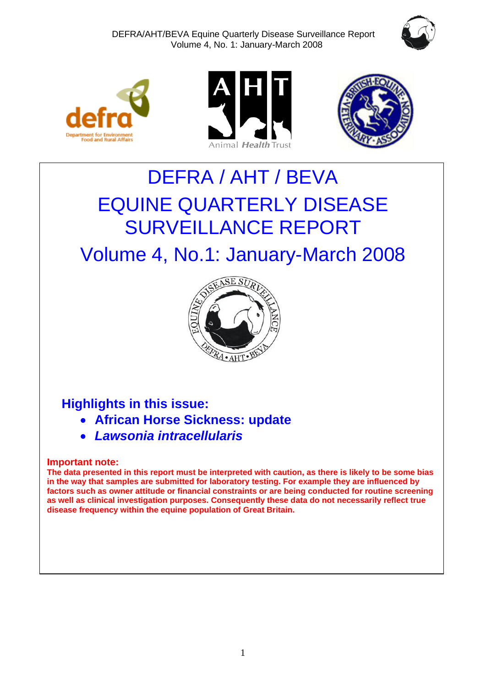







# DEFRA / AHT / BEVA EQUINE QUARTERLY DISEASE SURVEILLANCE REPORT

# Volume 4, No.1: January-March 2008



# **Highlights in this issue:**

- **African Horse Sickness: update**
- *Lawsonia intracellularis*

# **Important note:**

**The data presented in this report must be interpreted with caution, as there is likely to be some bias in the way that samples are submitted for laboratory testing. For example they are influenced by factors such as owner attitude or financial constraints or are being conducted for routine screening as well as clinical investigation purposes. Consequently these data do not necessarily reflect true disease frequency within the equine population of Great Britain.**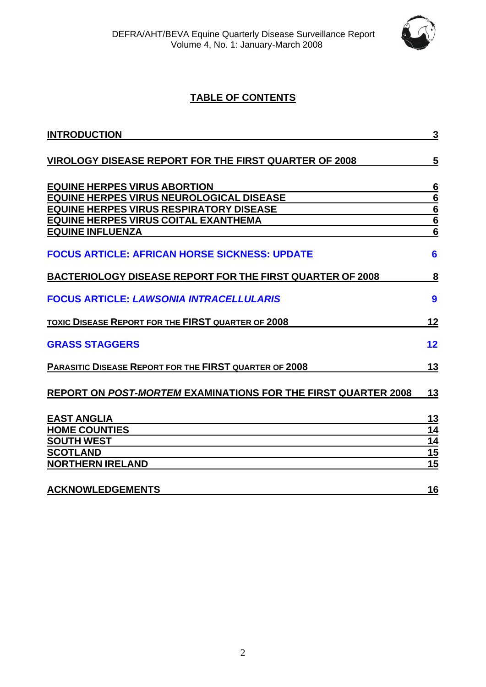

# **TABLE OF CONTENTS**

| <b>INTRODUCTION</b>                                                             | $\mathbf{3}$                   |
|---------------------------------------------------------------------------------|--------------------------------|
| <b>VIROLOGY DISEASE REPORT FOR THE FIRST QUARTER OF 2008</b>                    | 5                              |
| <b>EQUINE HERPES VIRUS ABORTION</b><br>EQUINE HERPES VIRUS NEUROLOGICAL DISEASE | $\frac{6}{6}$<br>$\frac{6}{6}$ |
| <b>EQUINE HERPES VIRUS RESPIRATORY DISEASE</b>                                  |                                |
| <b>EQUINE HERPES VIRUS COITAL EXANTHEMA</b>                                     |                                |
| <b>EQUINE INFLUENZA</b>                                                         |                                |
| <b>FOCUS ARTICLE: AFRICAN HORSE SICKNESS: UPDATE</b>                            | $6\phantom{1}6$                |
| <b>BACTERIOLOGY DISEASE REPORT FOR THE FIRST QUARTER OF 2008</b>                | $\overline{\mathbf{8}}$        |
| <b>FOCUS ARTICLE: LAWSONIA INTRACELLULARIS</b>                                  | 9                              |
| <b>TOXIC DISEASE REPORT FOR THE FIRST QUARTER OF 2008</b>                       | 12                             |
| <b>GRASS STAGGERS</b>                                                           | 12                             |
| <b>PARASITIC DISEASE REPORT FOR THE FIRST QUARTER OF 2008</b>                   | 13                             |
| REPORT ON POST-MORTEM EXAMINATIONS FOR THE FIRST QUARTER 2008                   | 13                             |
| <b>EAST ANGLIA</b>                                                              | <u>13</u>                      |
| <b>HOME COUNTIES</b>                                                            | 14                             |
| <b>SOUTH WEST</b><br><b>SCOTLAND</b>                                            | 14<br>15                       |
| <b>NORTHERN IRELAND</b>                                                         | $\overline{15}$                |
| <b>ACKNOWLEDGEMENTS</b>                                                         | 16                             |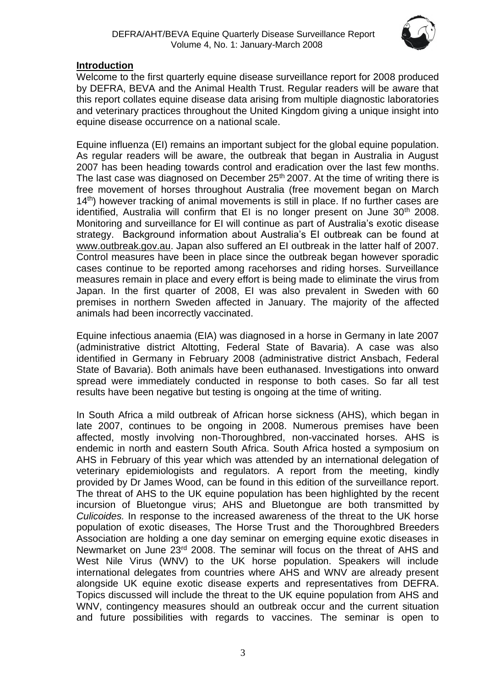

#### **Introduction**

Welcome to the first quarterly equine disease surveillance report for 2008 produced by DEFRA, BEVA and the Animal Health Trust. Regular readers will be aware that this report collates equine disease data arising from multiple diagnostic laboratories and veterinary practices throughout the United Kingdom giving a unique insight into equine disease occurrence on a national scale.

Equine influenza (EI) remains an important subject for the global equine population. As regular readers will be aware, the outbreak that began in Australia in August 2007 has been heading towards control and eradication over the last few months. The last case was diagnosed on December 25<sup>th</sup> 2007. At the time of writing there is free movement of horses throughout Australia (free movement began on March 14<sup>th</sup>) however tracking of animal movements is still in place. If no further cases are identified. Australia will confirm that EI is no longer present on June 30<sup>th</sup> 2008. Monitoring and surveillance for EI will continue as part of Australia's exotic disease strategy. Background information about Australia's EI outbreak can be found at [www.outbreak.gov.au.](http://www.outbreak.gov.au/) Japan also suffered an EI outbreak in the latter half of 2007. Control measures have been in place since the outbreak began however sporadic cases continue to be reported among racehorses and riding horses. Surveillance measures remain in place and every effort is being made to eliminate the virus from Japan. In the first quarter of 2008, EI was also prevalent in Sweden with 60 premises in northern Sweden affected in January. The majority of the affected animals had been incorrectly vaccinated.

Equine infectious anaemia (EIA) was diagnosed in a horse in Germany in late 2007 (administrative district Altotting, Federal State of Bavaria). A case was also identified in Germany in February 2008 (administrative district Ansbach, Federal State of Bavaria). Both animals have been euthanased. Investigations into onward spread were immediately conducted in response to both cases. So far all test results have been negative but testing is ongoing at the time of writing.

In South Africa a mild outbreak of African horse sickness (AHS), which began in late 2007, continues to be ongoing in 2008. Numerous premises have been affected, mostly involving non-Thoroughbred, non-vaccinated horses. AHS is endemic in north and eastern South Africa. South Africa hosted a symposium on AHS in February of this year which was attended by an international delegation of veterinary epidemiologists and regulators. A report from the meeting, kindly provided by Dr James Wood, can be found in this edition of the surveillance report. The threat of AHS to the UK equine population has been highlighted by the recent incursion of Bluetongue virus; AHS and Bluetongue are both transmitted by *Culicoides.* In response to the increased awareness of the threat to the UK horse population of exotic diseases, The Horse Trust and the Thoroughbred Breeders Association are holding a one day seminar on emerging equine exotic diseases in Newmarket on June 23<sup>rd</sup> 2008. The seminar will focus on the threat of AHS and West Nile Virus (WNV) to the UK horse population. Speakers will include international delegates from countries where AHS and WNV are already present alongside UK equine exotic disease experts and representatives from DEFRA. Topics discussed will include the threat to the UK equine population from AHS and WNV, contingency measures should an outbreak occur and the current situation and future possibilities with regards to vaccines. The seminar is open to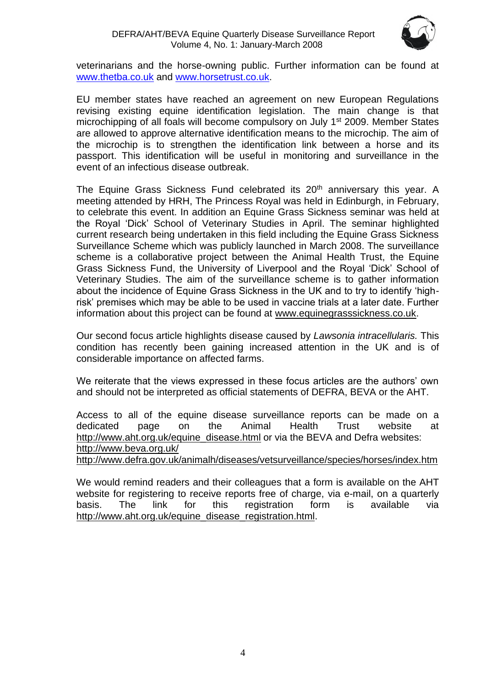

veterinarians and the horse-owning public. Further information can be found at [www.thetba.co.uk](http://www.thetba.co.uk/) and [www.horsetrust.co.uk.](http://www.horsetrust.co.uk/)

EU member states have reached an agreement on new European Regulations revising existing equine identification legislation. The main change is that microchipping of all foals will become compulsory on July 1st 2009. Member States are allowed to approve alternative identification means to the microchip. The aim of the microchip is to strengthen the identification link between a horse and its passport. This identification will be useful in monitoring and surveillance in the event of an infectious disease outbreak.

The Equine Grass Sickness Fund celebrated its 20<sup>th</sup> anniversary this year. A meeting attended by HRH, The Princess Royal was held in Edinburgh, in February, to celebrate this event. In addition an Equine Grass Sickness seminar was held at the Royal 'Dick' School of Veterinary Studies in April. The seminar highlighted current research being undertaken in this field including the Equine Grass Sickness Surveillance Scheme which was publicly launched in March 2008. The surveillance scheme is a collaborative project between the Animal Health Trust, the Equine Grass Sickness Fund, the University of Liverpool and the Royal 'Dick' School of Veterinary Studies. The aim of the surveillance scheme is to gather information about the incidence of Equine Grass Sickness in the UK and to try to identify 'highrisk' premises which may be able to be used in vaccine trials at a later date. Further information about this project can be found at [www.equinegrasssickness.co.uk.](http://www.equinegrasssickness.co.uk/)

Our second focus article highlights disease caused by *Lawsonia intracellularis.* This condition has recently been gaining increased attention in the UK and is of considerable importance on affected farms.

We reiterate that the views expressed in these focus articles are the authors' own and should not be interpreted as official statements of DEFRA, BEVA or the AHT.

Access to all of the equine disease surveillance reports can be made on a dedicated page on the Animal Health Trust website at [http://www.aht.org.uk/equine\\_disease.html](http://www.aht.org.uk/equine_disease.html) or via the BEVA and Defra websites: <http://www.beva.org.uk/>

<http://www.defra.gov.uk/animalh/diseases/vetsurveillance/species/horses/index.htm>

We would remind readers and their colleagues that a form is available on the AHT website for registering to receive reports free of charge, via e-mail, on a quarterly basis. The link for this registration form is available via [http://www.aht.org.uk/equine\\_disease\\_registration.html.](http://www.aht.org.uk/equine_disease_registration.html)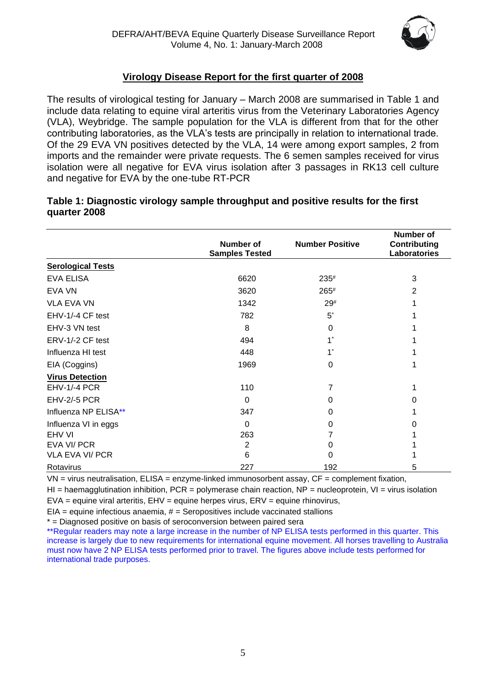

# **Virology Disease Report for the first quarter of 2008**

The results of virological testing for January – March 2008 are summarised in Table 1 and include data relating to equine viral arteritis virus from the Veterinary Laboratories Agency (VLA), Weybridge. The sample population for the VLA is different from that for the other contributing laboratories, as the VLA's tests are principally in relation to international trade. Of the 29 EVA VN positives detected by the VLA, 14 were among export samples, 2 from imports and the remainder were private requests. The 6 semen samples received for virus isolation were all negative for EVA virus isolation after 3 passages in RK13 cell culture and negative for EVA by the one-tube RT-PCR

|                          | Number of<br><b>Samples Tested</b> | <b>Number Positive</b> | Number of<br><b>Contributing</b><br>Laboratories |
|--------------------------|------------------------------------|------------------------|--------------------------------------------------|
| <b>Serological Tests</b> |                                    |                        |                                                  |
| <b>EVA ELISA</b>         | 6620                               | $235*$                 | 3                                                |
| EVA VN                   | 3620                               | 265#                   | 2                                                |
| <b>VLA EVA VN</b>        | 1342                               | $29^{#}$               |                                                  |
| EHV-1/-4 CF test         | 782                                | $5^*$                  |                                                  |
| EHV-3 VN test            | 8                                  | 0                      |                                                  |
| ERV-1/-2 CF test         | 494                                |                        |                                                  |
| Influenza HI test        | 448                                |                        |                                                  |
| EIA (Coggins)            | 1969                               | 0                      |                                                  |
| <b>Virus Detection</b>   |                                    |                        |                                                  |
| EHV-1/-4 PCR             | 110                                | 7                      |                                                  |
| <b>EHV-2/-5 PCR</b>      | $\Omega$                           | 0                      | 0                                                |
| Influenza NP ELISA**     | 347                                | 0                      |                                                  |
| Influenza VI in eggs     | 0                                  | 0                      | O                                                |
| EHV VI                   | 263                                |                        |                                                  |
| EVA VI/ PCR              | 2                                  | 0                      |                                                  |
| <b>VLA EVA VI/ PCR</b>   | 6                                  | 0                      |                                                  |
| Rotavirus                | 227                                | 192                    | 5                                                |

#### **Table 1: Diagnostic virology sample throughput and positive results for the first quarter 2008**

 $VN = virus$  neutralisation,  $ELISA =$  enzyme-linked immunosorbent assay,  $CF =$  complement fixation,

HI = haemagglutination inhibition, PCR = polymerase chain reaction, NP = nucleoprotein, VI = virus isolation

 $EVA =$  equine viral arteritis,  $EHV =$  equine herpes virus,  $ENV =$  equine rhinovirus,

 $EIA =$  equine infectious anaemia,  $# =$  Seropositives include vaccinated stallions

\* = Diagnosed positive on basis of seroconversion between paired sera

\*\*Regular readers may note a large increase in the number of NP ELISA tests performed in this quarter. This increase is largely due to new requirements for international equine movement. All horses travelling to Australia must now have 2 NP ELISA tests performed prior to travel. The figures above include tests performed for international trade purposes.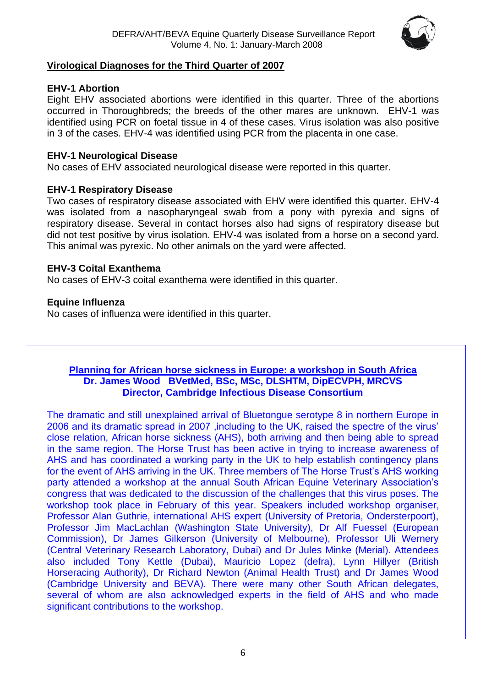

#### **Virological Diagnoses for the Third Quarter of 2007**

#### **EHV-1 Abortion**

Eight EHV associated abortions were identified in this quarter. Three of the abortions occurred in Thoroughbreds; the breeds of the other mares are unknown. EHV-1 was identified using PCR on foetal tissue in 4 of these cases. Virus isolation was also positive in 3 of the cases. EHV-4 was identified using PCR from the placenta in one case.

#### **EHV-1 Neurological Disease**

No cases of EHV associated neurological disease were reported in this quarter.

# **EHV-1 Respiratory Disease**

Two cases of respiratory disease associated with EHV were identified this quarter. EHV-4 was isolated from a nasopharyngeal swab from a pony with pyrexia and signs of respiratory disease. Several in contact horses also had signs of respiratory disease but did not test positive by virus isolation. EHV-4 was isolated from a horse on a second yard. This animal was pyrexic. No other animals on the yard were affected.

# **EHV-3 Coital Exanthema**

No cases of EHV-3 coital exanthema were identified in this quarter.

# **Equine Influenza**

No cases of influenza were identified in this quarter.

#### **Planning for African horse sickness in Europe: a workshop in South Africa Dr. James Wood BVetMed, BSc, MSc, DLSHTM, DipECVPH, MRCVS Director, Cambridge Infectious Disease Consortium**

The dramatic and still unexplained arrival of Bluetongue serotype 8 in northern Europe in 2006 and its dramatic spread in 2007 ,including to the UK, raised the spectre of the virus' close relation, African horse sickness (AHS), both arriving and then being able to spread in the same region. The Horse Trust has been active in trying to increase awareness of AHS and has coordinated a working party in the UK to help establish contingency plans for the event of AHS arriving in the UK. Three members of The Horse Trust's AHS working party attended a workshop at the annual South African Equine Veterinary Association's congress that was dedicated to the discussion of the challenges that this virus poses. The workshop took place in February of this year. Speakers included workshop organiser, Professor Alan Guthrie, international AHS expert (University of Pretoria, Ondersterpoort), Professor Jim MacLachlan (Washington State University), Dr Alf Fuessel (European Commission), Dr James Gilkerson (University of Melbourne), Professor Uli Wernery (Central Veterinary Research Laboratory, Dubai) and Dr Jules Minke (Merial). Attendees also included Tony Kettle (Dubai), Mauricio Lopez (defra), Lynn Hillyer (British Horseracing Authority), Dr Richard Newton (Animal Health Trust) and Dr James Wood (Cambridge University and BEVA). There were many other South African delegates, several of whom are also acknowledged experts in the field of AHS and who made significant contributions to the workshop.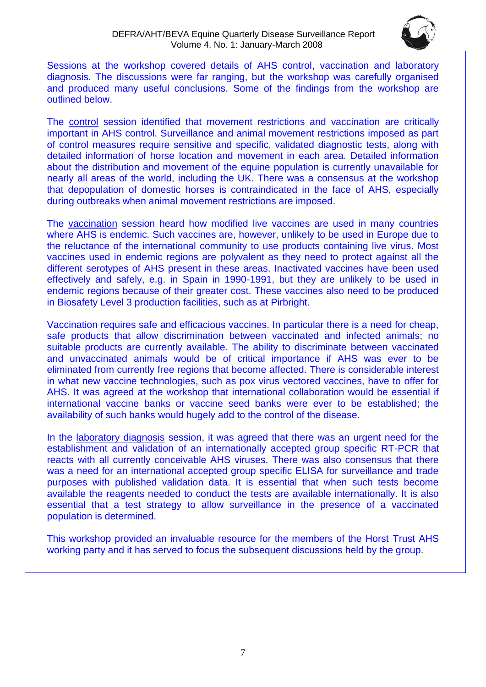

Sessions at the workshop covered details of AHS control, vaccination and laboratory diagnosis. The discussions were far ranging, but the workshop was carefully organised and produced many useful conclusions. Some of the findings from the workshop are outlined below.

The control session identified that movement restrictions and vaccination are critically important in AHS control. Surveillance and animal movement restrictions imposed as part of control measures require sensitive and specific, validated diagnostic tests, along with detailed information of horse location and movement in each area. Detailed information about the distribution and movement of the equine population is currently unavailable for nearly all areas of the world, including the UK. There was a consensus at the workshop that depopulation of domestic horses is contraindicated in the face of AHS, especially during outbreaks when animal movement restrictions are imposed.

The vaccination session heard how modified live vaccines are used in many countries where AHS is endemic. Such vaccines are, however, unlikely to be used in Europe due to the reluctance of the international community to use products containing live virus. Most vaccines used in endemic regions are polyvalent as they need to protect against all the different serotypes of AHS present in these areas. Inactivated vaccines have been used effectively and safely, e.g. in Spain in 1990-1991, but they are unlikely to be used in endemic regions because of their greater cost. These vaccines also need to be produced in Biosafety Level 3 production facilities, such as at Pirbright.

Vaccination requires safe and efficacious vaccines. In particular there is a need for cheap, safe products that allow discrimination between vaccinated and infected animals; no suitable products are currently available. The ability to discriminate between vaccinated and unvaccinated animals would be of critical importance if AHS was ever to be eliminated from currently free regions that become affected. There is considerable interest in what new vaccine technologies, such as pox virus vectored vaccines, have to offer for AHS. It was agreed at the workshop that international collaboration would be essential if international vaccine banks or vaccine seed banks were ever to be established; the availability of such banks would hugely add to the control of the disease.

In the laboratory diagnosis session, it was agreed that there was an urgent need for the establishment and validation of an internationally accepted group specific RT-PCR that reacts with all currently conceivable AHS viruses. There was also consensus that there was a need for an international accepted group specific ELISA for surveillance and trade purposes with published validation data. It is essential that when such tests become available the reagents needed to conduct the tests are available internationally. It is also essential that a test strategy to allow surveillance in the presence of a vaccinated population is determined.

This workshop provided an invaluable resource for the members of the Horst Trust AHS working party and it has served to focus the subsequent discussions held by the group.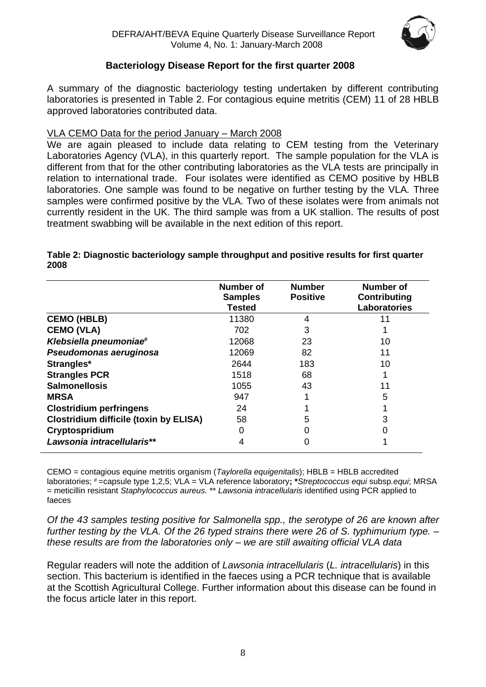

# **Bacteriology Disease Report for the first quarter 2008**

A summary of the diagnostic bacteriology testing undertaken by different contributing laboratories is presented in Table 2. For contagious equine metritis (CEM) 11 of 28 HBLB approved laboratories contributed data.

#### VLA CEMO Data for the period January – March 2008

We are again pleased to include data relating to CEM testing from the Veterinary Laboratories Agency (VLA), in this quarterly report. The sample population for the VLA is different from that for the other contributing laboratories as the VLA tests are principally in relation to international trade. Four isolates were identified as CEMO positive by HBLB laboratories. One sample was found to be negative on further testing by the VLA*.* Three samples were confirmed positive by the VLA. Two of these isolates were from animals not currently resident in the UK. The third sample was from a UK stallion. The results of post treatment swabbing will be available in the next edition of this report.

|                                               | Number of<br><b>Samples</b><br><b>Tested</b> | <b>Number</b><br><b>Positive</b> | Number of<br>Contributing<br>Laboratories |
|-----------------------------------------------|----------------------------------------------|----------------------------------|-------------------------------------------|
| <b>CEMO (HBLB)</b>                            | 11380                                        | 4                                |                                           |
| <b>CEMO (VLA)</b>                             | 702                                          | 3                                |                                           |
| Klebsiella pneumoniae#                        | 12068                                        | 23                               | 10                                        |
| Pseudomonas aeruginosa                        | 12069                                        | 82                               | 11                                        |
| Strangles*                                    | 2644                                         | 183                              | 10                                        |
| <b>Strangles PCR</b>                          | 1518                                         | 68                               |                                           |
| <b>Salmonellosis</b>                          | 1055                                         | 43                               | 11                                        |
| <b>MRSA</b>                                   | 947                                          |                                  | 5                                         |
| <b>Clostridium perfringens</b>                | 24                                           |                                  |                                           |
| <b>Clostridium difficile (toxin by ELISA)</b> | 58                                           | 5                                | 3                                         |
| Cryptospridium                                | 0                                            |                                  |                                           |
| Lawsonia intracellularis**                    | 4                                            |                                  |                                           |

#### **Table 2: Diagnostic bacteriology sample throughput and positive results for first quarter 2008**

CEMO = contagious equine metritis organism (*Taylorella equigenitalis*); HBLB = HBLB accredited laboratories; # =capsule type 1,2,5; VLA = VLA reference laboratory**; \****Streptococcus equi* subsp*.equi*; MRSA = meticillin resistant *Staphylococcus aureus.* \*\* *Lawsonia intracellularis* identified using PCR applied to faeces

*Of the 43 samples testing positive for Salmonella spp., the serotype of 26 are known after further testing by the VLA. Of the 26 typed strains there were 26 of S. typhimurium type. – these results are from the laboratories only – we are still awaiting official VLA data*

Regular readers will note the addition of *Lawsonia intracellularis* (*L. intracellularis*) in this section. This bacterium is identified in the faeces using a PCR technique that is available at the Scottish Agricultural College. Further information about this disease can be found in the focus article later in this report.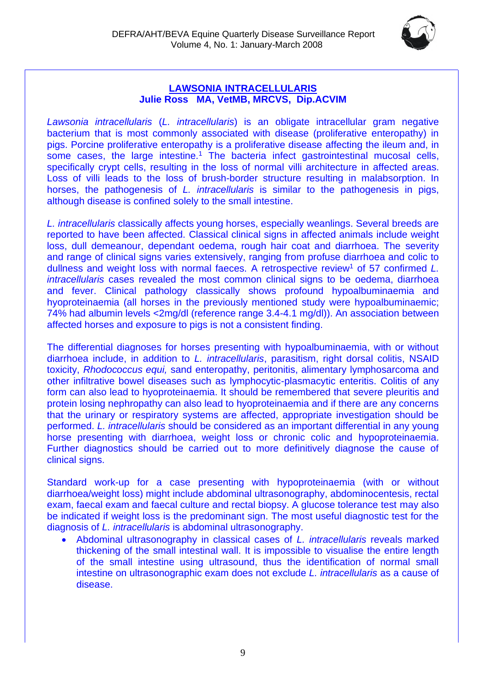

#### **LAWSONIA INTRACELLULARIS Julie Ross MA, VetMB, MRCVS, Dip.ACVIM**

*Lawsonia intracellularis* (*L. intracellularis*) is an obligate intracellular gram negative bacterium that is most commonly associated with disease (proliferative enteropathy) in pigs. Porcine proliferative enteropathy is a proliferative disease affecting the ileum and, in some cases, the large intestine.<sup>1</sup> The bacteria infect gastrointestinal mucosal cells, specifically crypt cells, resulting in the loss of normal villi architecture in affected areas. Loss of villi leads to the loss of brush-border structure resulting in malabsorption. In horses, the pathogenesis of *L. intracellularis* is similar to the pathogenesis in pigs, although disease is confined solely to the small intestine.

*L. intracellularis* classically affects young horses, especially weanlings. Several breeds are reported to have been affected. Classical clinical signs in affected animals include weight loss, dull demeanour, dependant oedema, rough hair coat and diarrhoea. The severity and range of clinical signs varies extensively, ranging from profuse diarrhoea and colic to dullness and weight loss with normal faeces. A retrospective review<sup>1</sup> of 57 confirmed *L*. *intracellularis* cases revealed the most common clinical signs to be oedema, diarrhoea and fever. Clinical pathology classically shows profound hypoalbuminaemia and hyoproteinaemia (all horses in the previously mentioned study were hypoalbuminaemic; 74% had albumin levels <2mg/dl (reference range 3.4-4.1 mg/dl)). An association between affected horses and exposure to pigs is not a consistent finding.

The differential diagnoses for horses presenting with hypoalbuminaemia, with or without diarrhoea include, in addition to *L. intracellularis*, parasitism, right dorsal colitis, NSAID toxicity, *Rhodococcus equi,* sand enteropathy, peritonitis, alimentary lymphosarcoma and other infiltrative bowel diseases such as lymphocytic-plasmacytic enteritis. Colitis of any form can also lead to hyoproteinaemia. It should be remembered that severe pleuritis and protein losing nephropathy can also lead to hyoproteinaemia and if there are any concerns that the urinary or respiratory systems are affected, appropriate investigation should be performed. *L. intracellularis* should be considered as an important differential in any young horse presenting with diarrhoea, weight loss or chronic colic and hypoproteinaemia. Further diagnostics should be carried out to more definitively diagnose the cause of clinical signs.

Standard work-up for a case presenting with hypoproteinaemia (with or without diarrhoea/weight loss) might include abdominal ultrasonography, abdominocentesis, rectal exam, faecal exam and faecal culture and rectal biopsy. A glucose tolerance test may also be indicated if weight loss is the predominant sign. The most useful diagnostic test for the diagnosis of *L. intracellularis* is abdominal ultrasonography.

• Abdominal ultrasonography in classical cases of *L. intracellularis* reveals marked thickening of the small intestinal wall. It is impossible to visualise the entire length of the small intestine using ultrasound, thus the identification of normal small intestine on ultrasonographic exam does not exclude *L. intracellularis* as a cause of disease.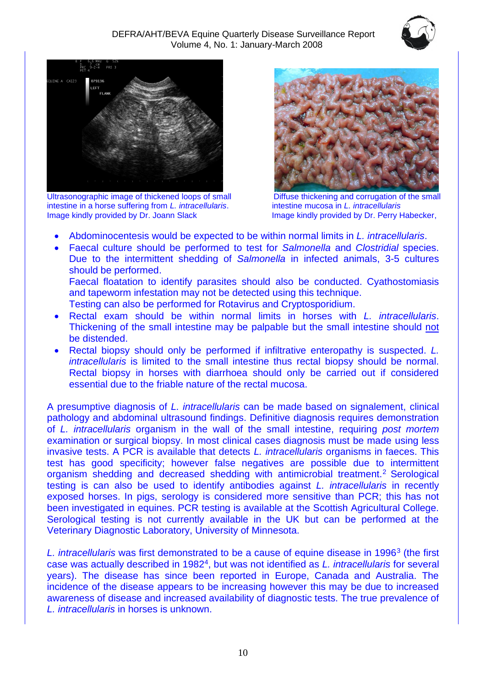



Ultrasonographic image of thickened loops of small Diffuse thickening and corrugation of the small intestine in a horse suffering from *L. intracellularis*. intestine mucosa in *L. intracellularis* Image kindly provided by Dr. Joann Slack Image kindly provided by Dr. Perry Habecker,



- Abdominocentesis would be expected to be within normal limits in *L. intracellularis*.
- Faecal culture should be performed to test for *Salmonella* and *Clostridial* species. Due to the intermittent shedding of *Salmonella* in infected animals, 3-5 cultures should be performed. Faecal floatation to identify parasites should also be conducted. Cyathostomiasis

and tapeworm infestation may not be detected using this technique. Testing can also be performed for Rotavirus and Cryptosporidium.

- Rectal exam should be within normal limits in horses with *L. intracellularis*. Thickening of the small intestine may be palpable but the small intestine should not be distended.
- Rectal biopsy should only be performed if infiltrative enteropathy is suspected. *L. intracellularis* is limited to the small intestine thus rectal biopsy should be normal. Rectal biopsy in horses with diarrhoea should only be carried out if considered essential due to the friable nature of the rectal mucosa.

A presumptive diagnosis of *L. intracellularis* can be made based on signalement, clinical pathology and abdominal ultrasound findings. Definitive diagnosis requires demonstration of *L. intracellularis* organism in the wall of the small intestine, requiring *post mortem*  examination or surgical biopsy. In most clinical cases diagnosis must be made using less invasive tests. A PCR is available that detects *L. intracellularis* organisms in faeces. This test has good specificity; however false negatives are possible due to intermittent organism shedding and decreased shedding with antimicrobial treatment.<sup>2</sup> Serological testing is can also be used to identify antibodies against *L. intracellularis* in recently exposed horses. In pigs, serology is considered more sensitive than PCR; this has not been investigated in equines. PCR testing is available at the Scottish Agricultural College. Serological testing is not currently available in the UK but can be performed at the Veterinary Diagnostic Laboratory, University of Minnesota.

L. *intracellularis* was first demonstrated to be a cause of equine disease in 1996<sup>3</sup> (the first case was actually described in 1982<sup>4</sup> , but was not identified as *L. intracellularis* for several years). The disease has since been reported in Europe, Canada and Australia. The incidence of the disease appears to be increasing however this may be due to increased awareness of disease and increased availability of diagnostic tests. The true prevalence of *L. intracellularis* in horses is unknown.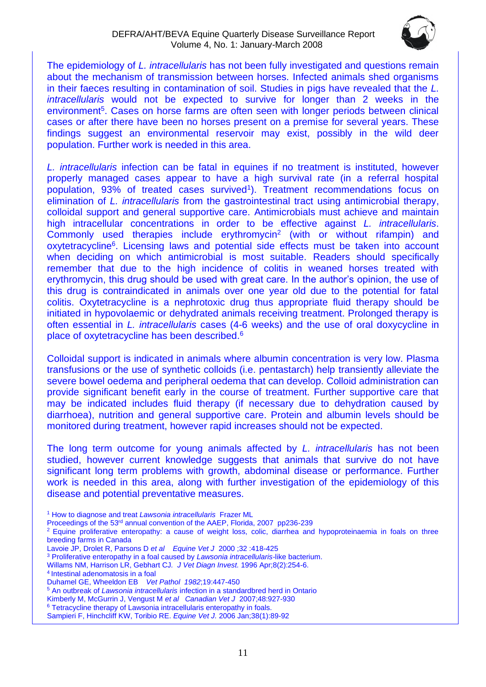

The epidemiology of *L. intracellularis* has not been fully investigated and questions remain about the mechanism of transmission between horses. Infected animals shed organisms in their faeces resulting in contamination of soil. Studies in pigs have revealed that the *L. intracellularis* would not be expected to survive for longer than 2 weeks in the environment<sup>5</sup>. Cases on horse farms are often seen with longer periods between clinical cases or after there have been no horses present on a premise for several years. These findings suggest an environmental reservoir may exist, possibly in the wild deer population. Further work is needed in this area.

*L. intracellularis* infection can be fatal in equines if no treatment is instituted, however properly managed cases appear to have a high survival rate (in a referral hospital population, 93% of treated cases survived<sup>1</sup>). Treatment recommendations focus on elimination of *L. intracellularis* from the gastrointestinal tract using antimicrobial therapy, colloidal support and general supportive care. Antimicrobials must achieve and maintain high intracellular concentrations in order to be effective against *L. intracellularis*. Commonly used therapies include erythromycin<sup>2</sup> (with or without rifampin) and oxytetracycline<sup>6</sup>. Licensing laws and potential side effects must be taken into account when deciding on which antimicrobial is most suitable. Readers should specifically remember that due to the high incidence of colitis in weaned horses treated with erythromycin, this drug should be used with great care. In the author's opinion, the use of this drug is contraindicated in animals over one year old due to the potential for fatal colitis. Oxytetracycline is a nephrotoxic drug thus appropriate fluid therapy should be initiated in hypovolaemic or dehydrated animals receiving treatment. Prolonged therapy is often essential in *L. intracellularis* cases (4-6 weeks) and the use of oral doxycycline in place of oxytetracycline has been described. 6

Colloidal support is indicated in animals where albumin concentration is very low. Plasma transfusions or the use of synthetic colloids (i.e. pentastarch) help transiently alleviate the severe bowel oedema and peripheral oedema that can develop. Colloid administration can provide significant benefit early in the course of treatment. Further supportive care that may be indicated includes fluid therapy (if necessary due to dehydration caused by diarrhoea), nutrition and general supportive care. Protein and albumin levels should be monitored during treatment, however rapid increases should not be expected.

The long term outcome for young animals affected by *L. intracellularis* has not been studied, however current knowledge suggests that animals that survive do not have significant long term problems with growth, abdominal disease or performance. Further work is needed in this area, along with further investigation of the epidemiology of this disease and potential preventative measures.

<sup>1</sup> How to diagnose and treat *Lawsonia intracellularis* Frazer ML

Proceedings of the 53rd annual convention of the AAEP, Florida, 2007 pp236-239

<sup>2</sup> Equine proliferative enteropathy: a cause of weight loss, colic, diarrhea and hypoproteinaemia in foals on three breeding farms in Canada

Lavoie JP, Drolet R, Parsons D *et al Equine Vet J* 2000 ;32 :418-425

<sup>3</sup> Proliferative enteropathy in a foal caused by *Lawsonia intracellularis*-like bacterium.

[Willams NM,](http://www.ncbi.nlm.nih.gov/sites/entrez?Db=pubmed&Cmd=Search&Term=%22Williams%20NM%22%5BAuthor%5D&itool=EntrezSystem2.PEntrez.Pubmed.Pubmed_ResultsPanel.Pubmed_DiscoveryPanel.Pubmed_RVAbstractPlus) [Harrison LR,](http://www.ncbi.nlm.nih.gov/sites/entrez?Db=pubmed&Cmd=Search&Term=%22Harrison%20LR%22%5BAuthor%5D&itool=EntrezSystem2.PEntrez.Pubmed.Pubmed_ResultsPanel.Pubmed_DiscoveryPanel.Pubmed_RVAbstractPlus) [Gebhart CJ](http://www.ncbi.nlm.nih.gov/sites/entrez?Db=pubmed&Cmd=Search&Term=%22Gebhart%20CJ%22%5BAuthor%5D&itool=EntrezSystem2.PEntrez.Pubmed.Pubmed_ResultsPanel.Pubmed_DiscoveryPanel.Pubmed_RVAbstractPlus)*. [J Vet Diagn Invest.](javascript:AL_get(this,%20)* 1996 Apr;8(2):254-6.

<sup>4</sup> Intestinal adenomatosis in a foal

Duhamel GE, Wheeldon EB *Vet Pathol 1982*;19:447-450

<sup>5</sup> An outbreak of *Lawsonia intracellularis* infection in a standardbred herd in Ontario

Kimberly M, McGurrin J, Vengust M *et al Canadian Vet J* 2007;48:927-930

<sup>6</sup> Tetracycline therapy of Lawsonia intracellularis enteropathy in foals.

[Sampieri F,](http://www.ncbi.nlm.nih.gov/sites/entrez?Db=pubmed&Cmd=Search&Term=%22Sampieri%20F%22%5BAuthor%5D&itool=EntrezSystem2.PEntrez.Pubmed.Pubmed_ResultsPanel.Pubmed_DiscoveryPanel.Pubmed_RVAbstractPlus) [Hinchcliff KW,](http://www.ncbi.nlm.nih.gov/sites/entrez?Db=pubmed&Cmd=Search&Term=%22Hinchcliff%20KW%22%5BAuthor%5D&itool=EntrezSystem2.PEntrez.Pubmed.Pubmed_ResultsPanel.Pubmed_DiscoveryPanel.Pubmed_RVAbstractPlus) [Toribio RE.](http://www.ncbi.nlm.nih.gov/sites/entrez?Db=pubmed&Cmd=Search&Term=%22Toribio%20RE%22%5BAuthor%5D&itool=EntrezSystem2.PEntrez.Pubmed.Pubmed_ResultsPanel.Pubmed_DiscoveryPanel.Pubmed_RVAbstractPlus) *[Equine Vet J.](javascript:AL_get(this,%20)* 2006 Jan;38(1):89-92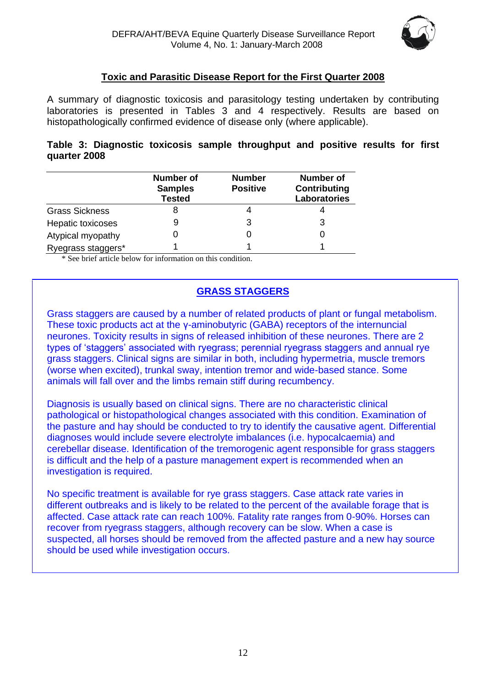

# **Toxic and Parasitic Disease Report for the First Quarter 2008**

A summary of diagnostic toxicosis and parasitology testing undertaken by contributing laboratories is presented in Tables 3 and 4 respectively. Results are based on histopathologically confirmed evidence of disease only (where applicable).

|              |  |  | Table 3: Diagnostic toxicosis sample throughput and positive results for first |  |  |  |
|--------------|--|--|--------------------------------------------------------------------------------|--|--|--|
| quarter 2008 |  |  |                                                                                |  |  |  |

|                       | <b>Number of</b><br><b>Samples</b><br><b>Tested</b> | <b>Number</b><br><b>Positive</b> | <b>Number of</b><br>Contributing<br><b>Laboratories</b> |
|-----------------------|-----------------------------------------------------|----------------------------------|---------------------------------------------------------|
| <b>Grass Sickness</b> | 8                                                   |                                  |                                                         |
| Hepatic toxicoses     | 9                                                   | 3                                | 3                                                       |
| Atypical myopathy     |                                                     | 0                                |                                                         |
| Ryegrass staggers*    |                                                     |                                  |                                                         |

\* See brief article below for information on this condition.

# **GRASS STAGGERS**

Grass staggers are caused by a number of related products of plant or fungal metabolism. These toxic products act at the γ-aminobutyric (GABA) receptors of the internuncial neurones. Toxicity results in signs of released inhibition of these neurones. There are 2 types of 'staggers' associated with ryegrass; perennial ryegrass staggers and annual rye grass staggers. Clinical signs are similar in both, including hypermetria, muscle tremors (worse when excited), trunkal sway, intention tremor and wide-based stance. Some animals will fall over and the limbs remain stiff during recumbency.

Diagnosis is usually based on clinical signs. There are no characteristic clinical pathological or histopathological changes associated with this condition. Examination of the pasture and hay should be conducted to try to identify the causative agent. Differential diagnoses would include severe electrolyte imbalances (i.e. hypocalcaemia) and cerebellar disease. Identification of the tremorogenic agent responsible for grass staggers is difficult and the help of a pasture management expert is recommended when an investigation is required.

No specific treatment is available for rye grass staggers. Case attack rate varies in different outbreaks and is likely to be related to the percent of the available forage that is affected. Case attack rate can reach 100%. Fatality rate ranges from 0-90%. Horses can recover from ryegrass staggers, although recovery can be slow. When a case is suspected, all horses should be removed from the affected pasture and a new hay source should be used while investigation occurs.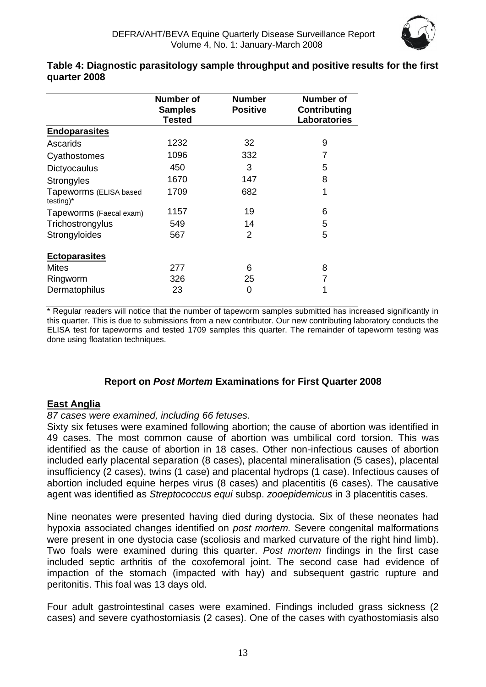

#### **Table 4: Diagnostic parasitology sample throughput and positive results for the first quarter 2008**

|                                        | Number of<br><b>Samples</b><br><b>Tested</b> | <b>Number</b><br><b>Positive</b> | Number of<br><b>Contributing</b><br><b>Laboratories</b> |
|----------------------------------------|----------------------------------------------|----------------------------------|---------------------------------------------------------|
| <b>Endoparasites</b>                   |                                              |                                  |                                                         |
| Ascarids                               | 1232                                         | 32                               | 9                                                       |
| Cyathostomes                           | 1096                                         | 332                              | 7                                                       |
| Dictyocaulus                           | 450                                          | 3                                | 5                                                       |
| Strongyles                             | 1670                                         | 147                              | 8                                                       |
| Tapeworms (ELISA based<br>$testing)^*$ | 1709                                         | 682                              | 1                                                       |
| Tapeworms (Faecal exam)                | 1157                                         | 19                               | 6                                                       |
| Trichostrongylus                       | 549                                          | 14                               | 5                                                       |
| Strongyloides                          | 567                                          | 2                                | 5                                                       |
| <b>Ectoparasites</b>                   |                                              |                                  |                                                         |
| Mites                                  | 277                                          | 6                                | 8                                                       |
| Ringworm                               | 326                                          | 25                               | 7                                                       |
| Dermatophilus                          | 23                                           | 0                                | 1                                                       |

\* Regular readers will notice that the number of tapeworm samples submitted has increased significantly in this quarter. This is due to submissions from a new contributor. Our new contributing laboratory conducts the ELISA test for tapeworms and tested 1709 samples this quarter. The remainder of tapeworm testing was done using floatation techniques.

# **Report on** *Post Mortem* **Examinations for First Quarter 2008**

# **East Anglia**

#### *87 cases were examined, including 66 fetuses.*

Sixty six fetuses were examined following abortion; the cause of abortion was identified in 49 cases. The most common cause of abortion was umbilical cord torsion. This was identified as the cause of abortion in 18 cases. Other non-infectious causes of abortion included early placental separation (8 cases), placental mineralisation (5 cases), placental insufficiency (2 cases), twins (1 case) and placental hydrops (1 case). Infectious causes of abortion included equine herpes virus (8 cases) and placentitis (6 cases). The causative agent was identified as *Streptococcus equi* subsp. *zooepidemicus* in 3 placentitis cases.

Nine neonates were presented having died during dystocia. Six of these neonates had hypoxia associated changes identified on *post mortem.* Severe congenital malformations were present in one dystocia case (scoliosis and marked curvature of the right hind limb). Two foals were examined during this quarter. *Post mortem* findings in the first case included septic arthritis of the coxofemoral joint. The second case had evidence of impaction of the stomach (impacted with hay) and subsequent gastric rupture and peritonitis. This foal was 13 days old.

Four adult gastrointestinal cases were examined. Findings included grass sickness (2 cases) and severe cyathostomiasis (2 cases). One of the cases with cyathostomiasis also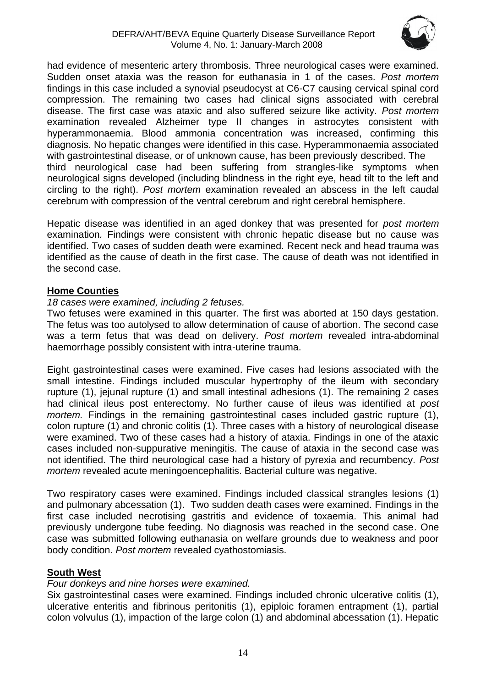

had evidence of mesenteric artery thrombosis. Three neurological cases were examined. Sudden onset ataxia was the reason for euthanasia in 1 of the cases. *Post mortem*  findings in this case included a synovial pseudocyst at C6-C7 causing cervical spinal cord compression. The remaining two cases had clinical signs associated with cerebral disease. The first case was ataxic and also suffered seizure like activity. *Post mortem*  examination revealed Alzheimer type II changes in astrocytes consistent with hyperammonaemia. Blood ammonia concentration was increased, confirming this diagnosis. No hepatic changes were identified in this case. Hyperammonaemia associated with gastrointestinal disease, or of unknown cause, has been previously described. The third neurological case had been suffering from strangles-like symptoms when neurological signs developed (including blindness in the right eye, head tilt to the left and circling to the right). *Post mortem* examination revealed an abscess in the left caudal cerebrum with compression of the ventral cerebrum and right cerebral hemisphere.

Hepatic disease was identified in an aged donkey that was presented for *post mortem*  examination*.* Findings were consistent with chronic hepatic disease but no cause was identified. Two cases of sudden death were examined. Recent neck and head trauma was identified as the cause of death in the first case. The cause of death was not identified in the second case.

#### **Home Counties**

#### *18 cases were examined, including 2 fetuses.*

Two fetuses were examined in this quarter. The first was aborted at 150 days gestation. The fetus was too autolysed to allow determination of cause of abortion. The second case was a term fetus that was dead on delivery. *Post mortem* revealed intra-abdominal haemorrhage possibly consistent with intra-uterine trauma.

Eight gastrointestinal cases were examined. Five cases had lesions associated with the small intestine. Findings included muscular hypertrophy of the ileum with secondary rupture (1), jejunal rupture (1) and small intestinal adhesions (1). The remaining 2 cases had clinical ileus post enterectomy. No further cause of ileus was identified at *post mortem.* Findings in the remaining gastrointestinal cases included gastric rupture (1), colon rupture (1) and chronic colitis (1). Three cases with a history of neurological disease were examined. Two of these cases had a history of ataxia. Findings in one of the ataxic cases included non-suppurative meningitis. The cause of ataxia in the second case was not identified. The third neurological case had a history of pyrexia and recumbency. *Post mortem* revealed acute meningoencephalitis. Bacterial culture was negative.

Two respiratory cases were examined. Findings included classical strangles lesions (1) and pulmonary abcessation (1). Two sudden death cases were examined. Findings in the first case included necrotising gastritis and evidence of toxaemia. This animal had previously undergone tube feeding. No diagnosis was reached in the second case. One case was submitted following euthanasia on welfare grounds due to weakness and poor body condition. *Post mortem* revealed cyathostomiasis.

#### **South West**

#### *Four donkeys and nine horses were examined.*

Six gastrointestinal cases were examined. Findings included chronic ulcerative colitis (1), ulcerative enteritis and fibrinous peritonitis (1), epiploic foramen entrapment (1), partial colon volvulus (1), impaction of the large colon (1) and abdominal abcessation (1). Hepatic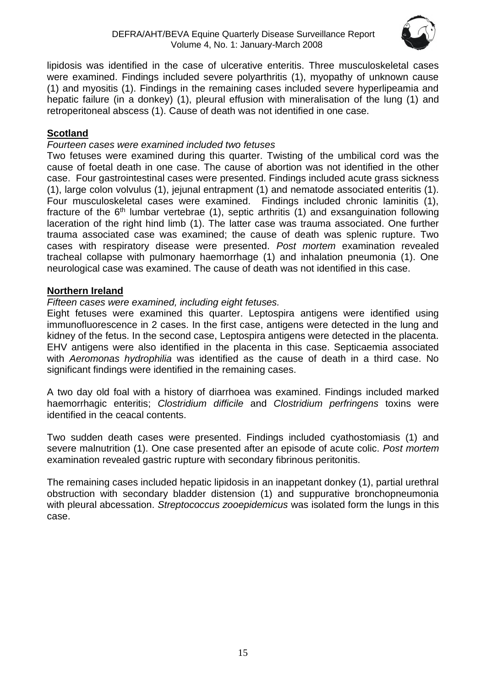

lipidosis was identified in the case of ulcerative enteritis. Three musculoskeletal cases were examined. Findings included severe polyarthritis (1), myopathy of unknown cause (1) and myositis (1). Findings in the remaining cases included severe hyperlipeamia and hepatic failure (in a donkey) (1), pleural effusion with mineralisation of the lung (1) and retroperitoneal abscess (1). Cause of death was not identified in one case.

# **Scotland**

# *Fourteen cases were examined included two fetuses*

Two fetuses were examined during this quarter. Twisting of the umbilical cord was the cause of foetal death in one case. The cause of abortion was not identified in the other case. Four gastrointestinal cases were presented. Findings included acute grass sickness (1), large colon volvulus (1), jejunal entrapment (1) and nematode associated enteritis (1). Four musculoskeletal cases were examined. Findings included chronic laminitis (1), fracture of the  $6<sup>th</sup>$  lumbar vertebrae (1), septic arthritis (1) and exsanguination following laceration of the right hind limb (1). The latter case was trauma associated. One further trauma associated case was examined; the cause of death was splenic rupture. Two cases with respiratory disease were presented. *Post mortem* examination revealed tracheal collapse with pulmonary haemorrhage (1) and inhalation pneumonia (1). One neurological case was examined. The cause of death was not identified in this case.

# **Northern Ireland**

# *Fifteen cases were examined, including eight fetuses.*

Eight fetuses were examined this quarter. Leptospira antigens were identified using immunofluorescence in 2 cases. In the first case, antigens were detected in the lung and kidney of the fetus. In the second case, Leptospira antigens were detected in the placenta. EHV antigens were also identified in the placenta in this case. Septicaemia associated with *Aeromonas hydrophilia* was identified as the cause of death in a third case. No significant findings were identified in the remaining cases.

A two day old foal with a history of diarrhoea was examined. Findings included marked haemorrhagic enteritis; *Clostridium difficile* and *Clostridium perfringens* toxins were identified in the ceacal contents.

Two sudden death cases were presented. Findings included cyathostomiasis (1) and severe malnutrition (1). One case presented after an episode of acute colic. *Post mortem*  examination revealed gastric rupture with secondary fibrinous peritonitis.

The remaining cases included hepatic lipidosis in an inappetant donkey (1), partial urethral obstruction with secondary bladder distension (1) and suppurative bronchopneumonia with pleural abcessation. *Streptococcus zooepidemicus* was isolated form the lungs in this case.